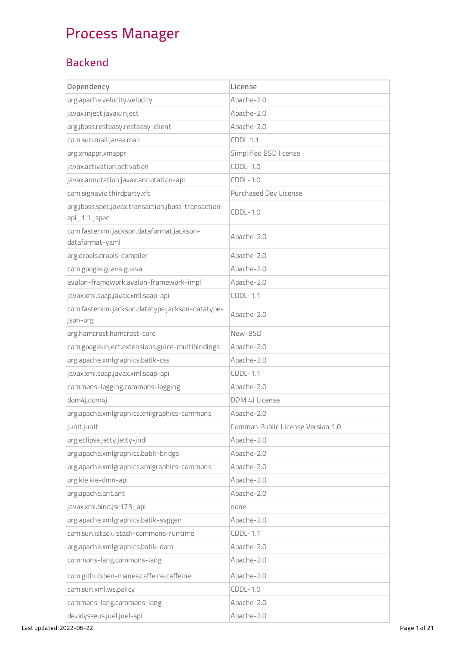## Process Manager

## Backend

| Dependency                                                             | License                           |
|------------------------------------------------------------------------|-----------------------------------|
| org.apache.velocity.velocity                                           | Apache-2.0                        |
| javax.inject.javax.inject                                              | Apache-2.0                        |
| org.jboss.resteasy.resteasy-client                                     | Apache-2.0                        |
| com.sun.mail.javax.mail                                                | <b>CDDL 1.1</b>                   |
| org.xmappr.xmappr                                                      | Simplified BSD license            |
| javax.activation.activation                                            | $CDDL-1.0$                        |
| javax.annotation.javax.annotation-api                                  | $CDDL-1.0$                        |
| com.signavio.thirdparty.xfc                                            | Purchased Dev License             |
| org.jboss.spec.javax.transaction.jboss-transaction-<br>$api_1.1$ _spec | $CDDL-1.0$                        |
| com.fasterxml.jackson.dataformat.jackson-<br>dataformat-yaml           | Apache-2.0                        |
| org.drools.drools-compiler                                             | Apache-2.0                        |
| com.google.guava.guava                                                 | Apache-2.0                        |
| avalon-framework.avalon-framework-impl                                 | Apache-2.0                        |
| javax.xml.soap.javax.xml.soap-api                                      | $CDDL-1.1$                        |
| com.fasterxml.jackson.datatype.jackson-datatype-<br>json-org           | Apache-2.0                        |
| org.hamcrest.hamcrest-core                                             | New-BSD                           |
| com.google.inject.extensions.guice-multibindings                       | Apache-2.0                        |
| org.apache.xmlgraphics.batik-css                                       | Apache-2.0                        |
| javax.xml.soap.javax.xml.soap-api                                      | $CDDL-1.1$                        |
| commons-logging.commons-logging                                        | Apache-2.0                        |
| dom4j.dom4j                                                            | DOM 4J License                    |
| org.apache.xmlgraphics.xmlgraphics-commons                             | Apache-2.0                        |
| junit.junit                                                            | Common Public License Version 1.0 |
| org.eclipse.jetty.jetty-jndi                                           | Apache-2.0                        |
| org.apache.xmlgraphics.batik-bridge                                    | Apache-2.0                        |
| org.apache.xmlgraphics.xmlgraphics-commons                             | Apache-2.0                        |
| org.kie.kie-dmn-api                                                    | Apache-2.0                        |
| org.apache.ant.ant                                                     | Apache-2.0                        |
| javax.xml.bind.jsr173_api                                              | none                              |
| org.apache.xmlgraphics.batik-svggen                                    | Apache-2.0                        |
| com.sun.istack.istack-commons-runtime                                  | $CDDL-1.1$                        |
| org.apache.xmlgraphics.batik-dom                                       | Apache-2.0                        |
| commons-lang.commons-lang                                              | Apache-2.0                        |
| com.github.ben-manes.caffeine.caffeine                                 | Apache-2.0                        |
| com.sun.xml.ws.policy                                                  | $CDDL-1.0$                        |
| commons-lang.commons-lang                                              | Apache-2.0                        |
| de.odysseus.juel.juel-spi                                              | Apache-2.0                        |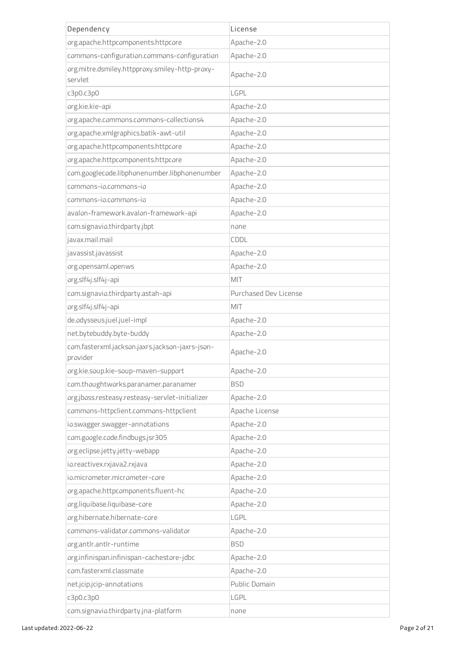| Dependency                                                  | License               |
|-------------------------------------------------------------|-----------------------|
| org.apache.httpcomponents.httpcore                          | Apache-2.0            |
| commons-configuration.commons-configuration                 | Apache-2.0            |
| org.mitre.dsmiley.httpproxy.smiley-http-proxy-<br>servlet   | Apache-2.0            |
| c3p0.c3p0                                                   | LGPL                  |
| org.kie.kie-api                                             | Apache-2.0            |
| org.apache.commons.commons-collections4                     | Apache-2.0            |
| org.apache.xmlgraphics.batik-awt-util                       | Apache-2.0            |
| org.apache.httpcomponents.httpcore                          | Apache-2.0            |
| org.apache.httpcomponents.httpcore                          | Apache-2.0            |
| com.googlecode.libphonenumber.libphonenumber                | Apache-2.0            |
| commons-io.commons-io                                       | Apache-2.0            |
| commons-jo.commons-jo                                       | Apache-2.0            |
| avalon-framework.avalon-framework-api                       | Apache-2.0            |
| com.signavio.thirdparty.jbpt                                | none                  |
| javax.mail.mail                                             | CDDL                  |
| javassist.javassist                                         | Apache-2.0            |
| org.opensaml.openws                                         | Apache-2.0            |
| org.slf4j.slf4j-api                                         | MIT                   |
| com.signavio.thirdparty.astah-api                           | Purchased Dev License |
| org.slf4j.slf4j-api                                         | MIT                   |
| de.odysseus.juel.juel-impl                                  | Apache-2.0            |
| net.bytebuddy.byte-buddy                                    | Apache-2.0            |
| com.fasterxml.jackson.jaxrs.jackson-jaxrs-json-<br>provider | Apache-2.0            |
| org.kie.soup.kie-soup-maven-support                         | Apache-2.0            |
| com.thoughtworks.paranamer.paranamer                        | <b>BSD</b>            |
| org.jboss.resteasy.resteasy-servlet-initializer             | Apache-2.0            |
| commons-httpclient.commons-httpclient                       | Apache License        |
| io.swagger.swagger-annotations                              | Apache-2.0            |
| com.google.code.findbugs.jsr305                             | Apache-2.0            |
| org.eclipse.jetty.jetty-webapp                              | Apache-2.0            |
| io.reactivex.rxjava2.rxjava                                 | Apache-2.0            |
| io.micrometer.micrometer-core                               | Apache-2.0            |
| org.apache.httpcomponents.fluent-hc                         | Apache-2.0            |
| org.liquibase.liquibase-core                                | Apache-2.0            |
| org.hibernate.hibernate-core                                | LGPL                  |
| commons-validator.commons-validator                         | Apache-2.0            |
| org.antlr.antlr-runtime                                     | <b>BSD</b>            |
| org.infinispan.infinispan-cachestore-jdbc                   | Apache-2.0            |
| com.fasterxml.classmate                                     | Apache-2.0            |
| net.jcip.jcip-annotations                                   | Public Domain         |
| c3p0.c3p0                                                   | LGPL                  |
| com.signavio.thirdparty.jna-platform                        | none                  |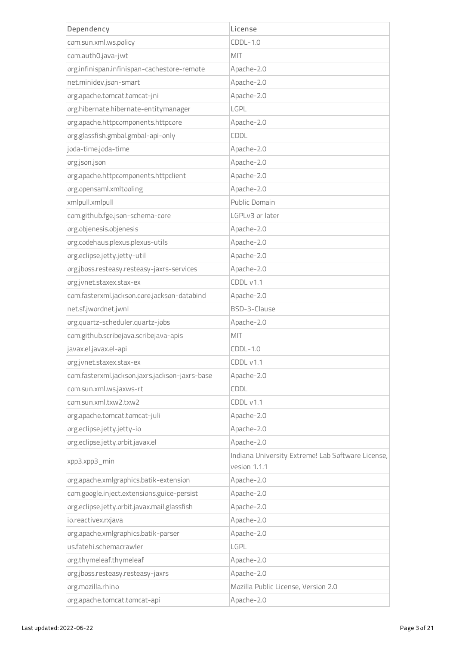| Dependency                                     | License                                                           |
|------------------------------------------------|-------------------------------------------------------------------|
| com.sun.xml.ws.policy                          | $CDDL-1.0$                                                        |
| com.auth0.java-jwt                             | MIT                                                               |
| org.infinispan.infinispan-cachestore-remote    | Apache-2.0                                                        |
| net.minidev.json-smart                         | Apache-2.0                                                        |
| org.apache.tomcat.tomcat-jni                   | Apache-2.0                                                        |
| org.hibernate.hibernate-entitymanager          | LGPL                                                              |
| org.apache.httpcomponents.httpcore             | Apache-2.0                                                        |
| org.glassfish.gmbal.gmbal-api-only             | CDDL                                                              |
| joda-time.joda-time                            | Apache-2.0                                                        |
| org.json.json                                  | Apache-2.0                                                        |
| org.apache.httpcomponents.httpclient           | Apache-2.0                                                        |
| org.opensaml.xmltooling                        | Apache-2.0                                                        |
| xmlpull.xmlpull                                | Public Domain                                                     |
| com.github.fge.json-schema-core                | LGPLv3 or later                                                   |
| org.objenesis.objenesis                        | Apache-2.0                                                        |
| org.codehaus.plexus.plexus-utils               | Apache-2.0                                                        |
| org.eclipse.jetty.jetty-util                   | Apache-2.0                                                        |
| org.jboss.resteasy.resteasy-jaxrs-services     | Apache-2.0                                                        |
| org.jvnet.staxex.stax-ex                       | CDDL v1.1                                                         |
| com.fasterxml.jackson.core.jackson-databind    | Apache-2.0                                                        |
| net.sf.jwordnet.jwnl                           | BSD-3-Clause                                                      |
| org.quartz-scheduler.quartz-jobs               | Apache-2.0                                                        |
| com.github.scribejava.scribejava-apis          | MIT                                                               |
| javax.el.javax.el-api                          | $CDDL-1.0$                                                        |
| org.jvnet.staxex.stax-ex                       | CDDL v1.1                                                         |
| com.fasterxml.jackson.jaxrs.jackson-jaxrs-base | Apache-2.0                                                        |
| com.sun.xml.ws.jaxws-rt                        | CDDL                                                              |
| com.sun.xml.txw2.txw2                          | CDDL v1.1                                                         |
| org.apache.tomcat.tomcat-juli                  | Apache-2.0                                                        |
| org.eclipse.jetty.jetty-io                     | Apache-2.0                                                        |
| org.eclipse.jetty.orbit.javax.el               | Apache-2.0                                                        |
| xpp3.xpp3_min                                  | Indiana University Extreme! Lab Software License,<br>vesion 1.1.1 |
| org.apache.xmlgraphics.batik-extension         | Apache-2.0                                                        |
| com.google.inject.extensions.guice-persist     | Apache-2.0                                                        |
| org.eclipse.jetty.orbit.javax.mail.glassfish   | Apache-2.0                                                        |
| io.reactivex.rxjava                            | Apache-2.0                                                        |
| org.apache.xmlgraphics.batik-parser            | Apache-2.0                                                        |
| us.fatehi.schemacrawler                        | LGPL                                                              |
| org.thymeleaf.thymeleaf                        | Apache-2.0                                                        |
| org.jboss.resteasy.resteasy-jaxrs              | Apache-2.0                                                        |
| org.mozilla.rhino                              | Mozilla Public License, Version 2.0                               |
| org.apache.tomcat.tomcat-api                   | Apache-2.0                                                        |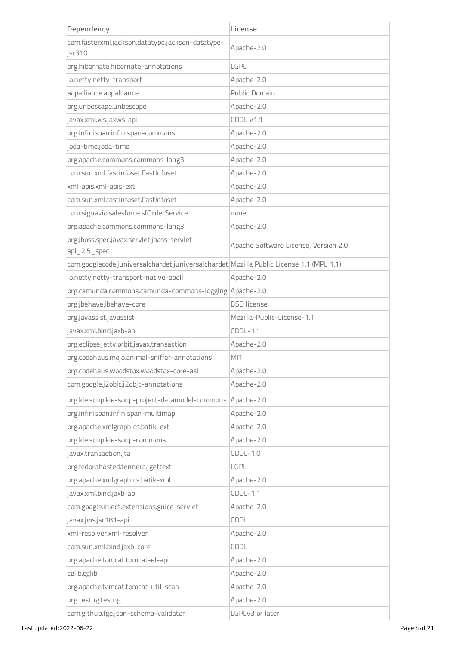| Dependency                                                                              | License                              |
|-----------------------------------------------------------------------------------------|--------------------------------------|
| com.fasterxml.jackson.datatype.jackson-datatype-                                        | Apache-2.0                           |
| jsr310                                                                                  |                                      |
| org.hibernate.hibernate-annotations                                                     | LGPL                                 |
| io.netty.netty-transport                                                                | Apache-2.0                           |
| aopalliance.aopalliance                                                                 | Public Domain                        |
| org.unbescape.unbescape                                                                 | Apache-2.0                           |
| javax.xml.ws.jaxws-api                                                                  | CDDL v1.1                            |
| org.infinispan.infinispan-commons                                                       | Apache-2.0                           |
| joda-time.joda-time                                                                     | Apache-2.0                           |
| org.apache.commons.commons-lang3                                                        | Apache-2.0                           |
| com.sun.xml.fastinfoset.FastInfoset                                                     | Apache-2.0                           |
| xml-apis.xml-apis-ext                                                                   | Apache-2.0                           |
| com.sun.xml.fastinfoset.FastInfoset                                                     | Apache-2.0                           |
| com.signavio.salesforce.sfOrderService                                                  | none                                 |
| org.apache.commons.commons-lang3                                                        | Apache-2.0                           |
| org.jboss.spec.javax.servlet.jboss-servlet-<br>api_2.5_spec                             | Apache Software License, Version 2.0 |
| com.googlecode.juniversalchardet.juniversalchardet Mozilla Public License 1.1 (MPL 1.1) |                                      |
| io.netty.netty-transport-native-epoll                                                   | Apache-2.0                           |
| org.camunda.commons.camunda-commons-logging Apache-2.0                                  |                                      |
| org.jbehave.jbehave-core                                                                | <b>BSD</b> license                   |
| org.javassist.javassist                                                                 | Mozilla-Public-License-1.1           |
| javax.xml.bind.jaxb-api                                                                 | $CDDL-1.1$                           |
| org.eclipse.jetty.orbit.javax.transaction                                               | Apache-2.0                           |
| org.codehaus.mojo.animal-sniffer-annotations                                            | MIT                                  |
| org.codehaus.woodstox.woodstox-core-asl                                                 | Apache-2.0                           |
| com.google.j2objc.j2objc-annotations                                                    | Apache-2.0                           |
| org.kie.soup.kie-soup-project-datamodel-commons                                         | Apache-2.0                           |
| org.infinispan.infinispan-multimap                                                      | Apache-2.0                           |
| org.apache.xmlgraphics.batik-ext                                                        | Apache-2.0                           |
| org.kie.soup.kie-soup-commons                                                           | Apache-2.0                           |
| javax.transaction.jta                                                                   | $CDDL-1.0$                           |
| org.fedorahosted.tennera.jgettext                                                       | LGPL                                 |
| org.apache.xmlgraphics.batik-xml                                                        | Apache-2.0                           |
| javax.xml.bind.jaxb-api                                                                 | $CDDL-1.1$                           |
| com.google.inject.extensions.guice-servlet                                              | Apache-2.0                           |
| javax.jws.jsr181-api                                                                    | CDDL                                 |
| xml-resolver.xml-resolver                                                               | Apache-2.0                           |
| com.sun.xml.bind.jaxb-core                                                              | CDDL                                 |
| org.apache.tomcat.tomcat-el-api                                                         | Apache-2.0                           |
| cglib.cglib                                                                             | Apache-2.0                           |
| org.apache.tomcat.tomcat-util-scan                                                      | Apache-2.0                           |
| org.testng.testng                                                                       | Apache-2.0                           |
| com.github.fge.json-schema-validator                                                    | LGPLv3 or later                      |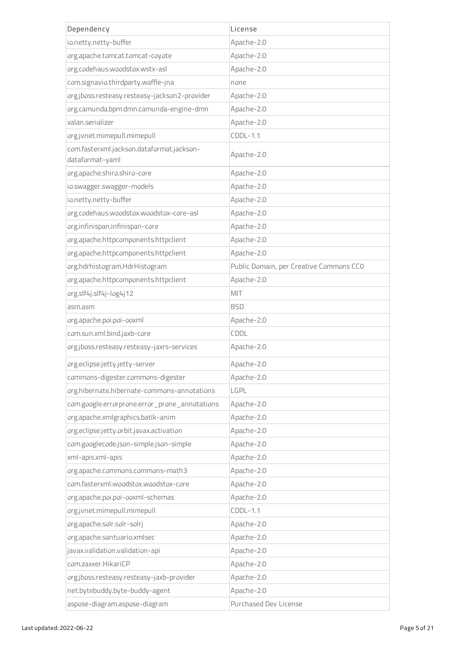| Dependency                                    | License                                 |
|-----------------------------------------------|-----------------------------------------|
| io.netty.netty-buffer                         | Apache-2.0                              |
| org.apache.tomcat.tomcat-coyote               | Apache-2.0                              |
| org.codehaus.woodstox.wstx-asl                | Apache-2.0                              |
| com.signavio.thirdparty.waffle-jna            | none                                    |
| org.jboss.resteasy.resteasy-jackson2-provider | Apache-2.0                              |
| org.camunda.bpm.dmn.camunda-engine-dmn        | Apache-2.0                              |
| xalan.serializer                              | Apache-2.0                              |
| org.jvnet.mimepull.mimepull                   | $CDDL-1.1$                              |
| com.fasterxml.jackson.dataformat.jackson-     | Apache-2.0                              |
| dataformat-yaml                               |                                         |
| org.apache.shiro.shiro-core                   | Apache-2.0                              |
| io.swagger.swagger-models                     | Apache-2.0                              |
| io.netty.netty-buffer                         | Apache-2.0                              |
| org.codehaus.woodstox.woodstox-core-asl       | Apache-2.0                              |
| org.infinispan.infinispan-core                | Apache-2.0                              |
| org.apache.httpcomponents.httpclient          | Apache-2.0                              |
| org.apache.httpcomponents.httpclient          | Apache-2.0                              |
| org.hdrhistogram.HdrHistogram                 | Public Domain, per Creative Commons CCO |
| org.apache.httpcomponents.httpclient          | Apache-2.0                              |
| org.slf4j.slf4j-log4j12                       | MIT                                     |
| asm.asm                                       | <b>BSD</b>                              |
| org.apache.poi.poi-ooxml                      | Apache-2.0                              |
| com.sun.xml.bind.jaxb-core                    | CDDL                                    |
| org.jboss.resteasy.resteasy-jaxrs-services    | Apache-2.0                              |
| org.eclipse.jetty.jetty-server                | Apache-2.0                              |
| commons-digester.commons-digester             | Apache-2.0                              |
| org.hibernate.hibernate-commons-annotations   | LGPL                                    |
| com.google.errorprone.error_prone_annotations | Apache-2.0                              |
| org.apache.xmlgraphics.batik-anim             | Apache-2.0                              |
| org.eclipse.jetty.orbit.javax.activation      | Apache-2.0                              |
| com.googlecode.json-simple.json-simple        | Apache-2.0                              |
| xml-apis.xml-apis                             | Apache-2.0                              |
| org.apache.commons.commons-math3              | Apache-2.0                              |
| com.fasterxml.woodstox.woodstox-core          | Apache-2.0                              |
| org.apache.poi.poi-ooxml-schemas              | Apache-2.0                              |
| org.jvnet.mimepull.mimepull                   | $CDDL-1.1$                              |
| org.apache.solr.solr-solrj                    | Apache-2.0                              |
| org.apache.santuario.xmlsec                   | Apache-2.0                              |
| javax.validation.validation-api               | Apache-2.0                              |
| com.zaxxer.HikariCP                           | Apache-2.0                              |
| org.jboss.resteasy.resteasy-jaxb-provider     | Apache-2.0                              |
| net.bytebuddy.byte-buddy-agent                | Apache-2.0                              |
| aspose-diagram.aspose-diagram                 | Purchased Dev License                   |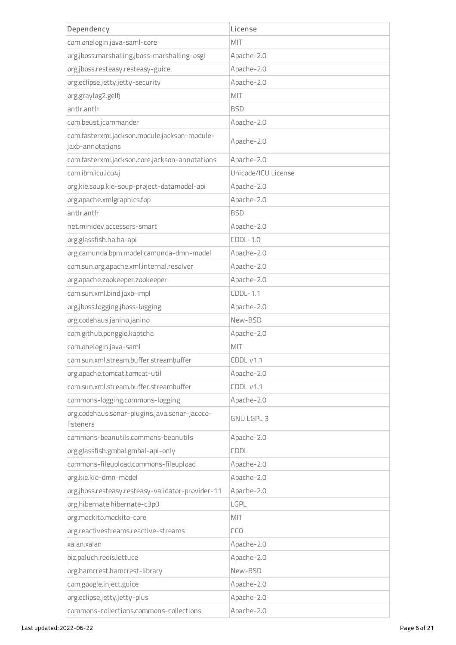| Dependency                                                       | License             |
|------------------------------------------------------------------|---------------------|
| com.onelogin.java-saml-core                                      | MIT                 |
| org.jboss.marshalling.jboss-marshalling-osgi                     | Apache-2.0          |
| org.jboss.resteasy.resteasy-guice                                | Apache-2.0          |
| org.eclipse.jetty.jetty-security                                 | Apache-2.0          |
| org.graylog2.gelfj                                               | MIT                 |
| antlr.antlr                                                      | <b>BSD</b>          |
| com.beust.jcommander                                             | Apache-2.0          |
| com.fasterxml.jackson.module.jackson-module-<br>jaxb-annotations | Apache-2.0          |
| com.fasterxml.jackson.core.jackson-annotations                   | Apache-2.0          |
| com.ibm.icu.icu4j                                                | Unicode/ICU License |
| org.kie.soup.kie-soup-project-datamodel-api                      | Apache-2.0          |
| org.apache.xmlgraphics.fop                                       | Apache-2.0          |
| antlr.antlr                                                      | <b>BSD</b>          |
| net.minidev.accessors-smart                                      | Apache-2.0          |
| org.glassfish.ha.ha-api                                          | $CDDL-1.0$          |
| org.camunda.bpm.model.camunda-dmn-model                          | Apache-2.0          |
| com.sun.org.apache.xml.internal.resolver                         | Apache-2.0          |
| org.apache.zookeeper.zookeeper                                   | Apache-2.0          |
| com.sun.xml.bind.jaxb-impl                                       | $CDDL-1.1$          |
| org.jboss.logging.jboss-logging                                  | Apache-2.0          |
| org.codehaus.janino.janino                                       | New-BSD             |
| com.github.penggle.kaptcha                                       | Apache-2.0          |
| com.onelogin.java-saml                                           | MIT                 |
| com.sun.xml.stream.buffer.streambuffer                           | CDDL v1.1           |
| org.apache.tomcat.tomcat-util                                    | Apache-2.0          |
| com.sun.xml.stream.buffer.streambuffer                           | CDDL v1.1           |
| commons-logging.commons-logging                                  | Apache-2.0          |
| org.codehaus.sonar-plugins.java.sonar-jacoco-<br>listeners       | <b>GNU LGPL 3</b>   |
| commons-beanutils.commons-beanutils                              | Apache-2.0          |
| org.glassfish.gmbal.gmbal-api-only                               | CDDL                |
| commons-fileupload.commons-fileupload                            | Apache-2.0          |
| org.kie.kie-dmn-model                                            | Apache-2.0          |
| org.jboss.resteasy.resteasy-validator-provider-11                | Apache-2.0          |
| org.hibernate.hibernate-c3p0                                     | LGPL                |
| org.mockito.mockito-core                                         | MIT                 |
| org.reactivestreams.reactive-streams                             | CC <sub>0</sub>     |
| xalan.xalan                                                      | Apache-2.0          |
| biz.paluch.redis.lettuce                                         | Apache-2.0          |
| org.hamcrest.hamcrest-library                                    | New-BSD             |
| com.google.inject.guice                                          | Apache-2.0          |
| org.eclipse.jetty.jetty-plus                                     | Apache-2.0          |
| commons-collections.commons-collections                          | Apache-2.0          |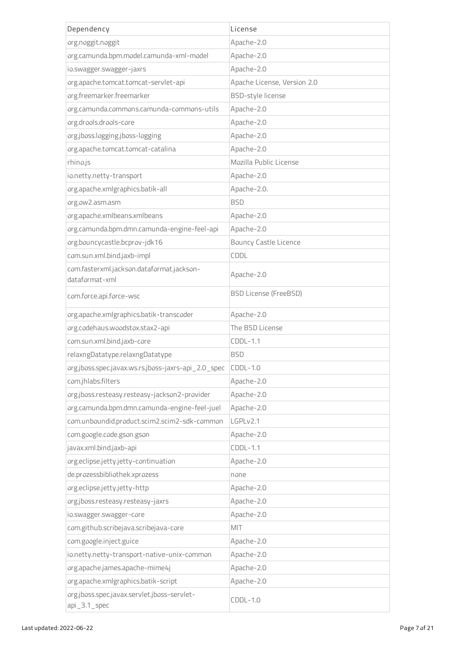| Dependency                                                     | License                      |
|----------------------------------------------------------------|------------------------------|
| org.noggit.noggit                                              | Apache-2.0                   |
| org.camunda.bpm.model.camunda-xml-model                        | Apache-2.0                   |
| io.swagger.swagger-jaxrs                                       | Apache-2.0                   |
| org.apache.tomcat.tomcat-servlet-api                           | Apache License, Version 2.0  |
| org.freemarker.freemarker                                      | BSD-style license            |
| org.camunda.commons.camunda-commons-utils                      | Apache-2.0                   |
| org.drools.drools-core                                         | Apache-2.0                   |
| org.jboss.logging.jboss-logging                                | Apache-2.0                   |
| org.apache.tomcat.tomcat-catalina                              | Apache-2.0                   |
| rhino.js                                                       | Mozilla Public License       |
| io.netty.netty-transport                                       | Apache-2.0                   |
| org.apache.xmlgraphics.batik-all                               | Apache-2.0.                  |
| org.ow2.asm.asm                                                | <b>BSD</b>                   |
| org.apache.xmlbeans.xmlbeans                                   | Apache-2.0                   |
| org.camunda.bpm.dmn.camunda-engine-feel-api                    | Apache-2.0                   |
| org.bouncycastle.bcprov-jdk16                                  | <b>Bouncy Castle Licence</b> |
| com.sun.xml.bind.jaxb-impl                                     | CDDL                         |
| com.fasterxml.jackson.dataformat.jackson-<br>dataformat-xml    | Apache-2.0                   |
| com.force.api.force-wsc                                        | <b>BSD License (FreeBSD)</b> |
| org.apache.xmlgraphics.batik-transcoder                        | Apache-2.0                   |
| org.codehaus.woodstox.stax2-api                                | The BSD License              |
| com.sun.xml.bind.jaxb-core                                     | $CDDL-1.1$                   |
| relaxngDatatype.relaxngDatatype                                | <b>BSD</b>                   |
| org.jboss.spec.javax.ws.rs.jboss-jaxrs-api_2.0_spec            | $CDDL-1.0$                   |
| com.jhlabs.filters                                             | Apache-2.0                   |
| org.jboss.resteasy.resteasy-jackson2-provider                  | Apache-2.0                   |
| org.camunda.bpm.dmn.camunda-engine-feel-juel                   | Apache-2.0                   |
| com.unboundid.product.scim2.scim2-sdk-common                   | LGPLv2.1                     |
| com.google.code.gson.gson                                      | Apache-2.0                   |
| javax.xml.bind.jaxb-api                                        | $CDDL-1.1$                   |
| org.eclipse.jetty.jetty-continuation                           | Apache-2.0                   |
| de.prozessbibliothek.xprozess                                  | none                         |
| org.eclipse.jetty.jetty-http                                   | Apache-2.0                   |
| org.jboss.resteasy.resteasy-jaxrs                              | Apache-2.0                   |
| io.swagger.swagger-core                                        | Apache-2.0                   |
| com.github.scribejava.scribejava-core                          | MIT                          |
| com.google.inject.guice                                        | Apache-2.0                   |
| io.netty.netty-transport-native-unix-common                    | Apache-2.0                   |
| org.apache.james.apache-mime4j                                 | Apache-2.0                   |
| org.apache.xmlgraphics.batik-script                            | Apache-2.0                   |
| org.jboss.spec.javax.servlet.jboss-servlet-<br>$api_3.1$ _spec | $CDDL-1.0$                   |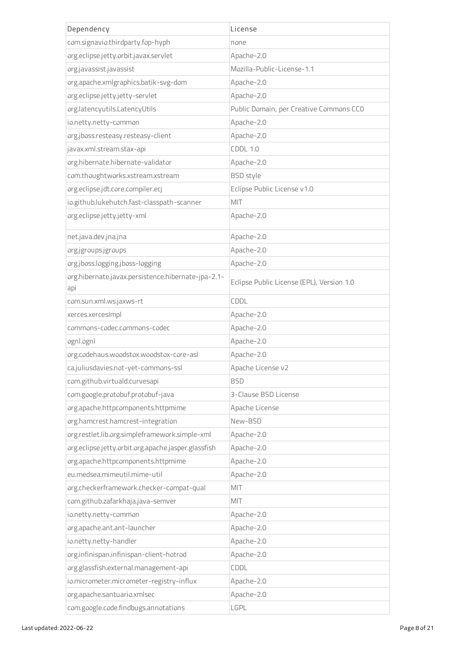| Dependency                                                | License                                   |
|-----------------------------------------------------------|-------------------------------------------|
| com.signavio.thirdparty.fop-hyph                          | none                                      |
| org.eclipse.jetty.orbit.javax.servlet                     | Apache-2.0                                |
| org.javassist.javassist                                   | Mozilla-Public-License-1.1                |
| org.apache.xmlgraphics.batik-svg-dom                      | Apache-2.0                                |
| org.eclipse.jetty.jetty-servlet                           | Apache-2.0                                |
| org.latencyutils.LatencyUtils                             | Public Domain, per Creative Commons CCO   |
| io.netty.netty-common                                     | Apache-2.0                                |
| org.jboss.resteasy.resteasy-client                        | Apache-2.0                                |
| javax.xml.stream.stax-api                                 | <b>CDDL 1.0</b>                           |
| org.hibernate.hibernate-validator                         | Apache-2.0                                |
| com.thoughtworks.xstream.xstream                          | <b>BSD</b> style                          |
| org.eclipse.jdt.core.compiler.ecj                         | Eclipse Public License v1.0               |
| io.github.lukehutch.fast-classpath-scanner                | MIT                                       |
| org.eclipse.jetty.jetty-xml                               | Apache-2.0                                |
| net.java.dev.jna.jna                                      | Apache-2.0                                |
| org.jgroups.jgroups                                       | Apache-2.0                                |
| org.jboss.logging.jboss-logging                           | Apache-2.0                                |
| org.hibernate.javax.persistence.hibernate-jpa-2.1-<br>api | Eclipse Public License (EPL), Version 1.0 |
| com.sun.xml.ws.jaxws-rt                                   | CDDL                                      |
| xerces.xercesImpl                                         | Apache-2.0                                |
| commons-codec.commons-codec                               | Apache-2.0                                |
| ognl.ognl                                                 | Apache-2.0                                |
| org.codehaus.woodstox.woodstox-core-asl                   | Apache-2.0                                |
| ca.juliusdavies.not-yet-commons-ssl                       | Apache License v2                         |
| com.github.virtuald.curvesapi                             | <b>BSD</b>                                |
| com.google.protobuf.protobuf-java                         | 3-Clause BSD License                      |
| org.apache.httpcomponents.httpmime                        | Apache License                            |
| org.hamcrest.hamcrest-integration                         | New-BSD                                   |
| org.restlet.lib.org.simpleframework.simple-xml            | Apache-2.0                                |
| org.eclipse.jetty.orbit.org.apache.jasper.glassfish       | Apache-2.0                                |
| org.apache.httpcomponents.httpmime                        | Apache-2.0                                |
| eu.medsea.mimeutil.mime-util                              | Apache-2.0                                |
| org.checkerframework.checker-compat-qual                  | MIT                                       |
| com.github.zafarkhaja.java-semver                         | MIT                                       |
| io.netty.netty-common                                     | Apache-2.0                                |
| org.apache.ant.ant-launcher                               | Apache-2.0                                |
| io.netty.netty-handler                                    | Apache-2.0                                |
| org.infinispan.infinispan-client-hotrod                   | Apache-2.0                                |
| org.glassfish.external.management-api                     | CDDL                                      |
| io.micrometer.micrometer-registry-influx                  | Apache-2.0                                |
| org.apache.santuario.xmlsec                               | Apache-2.0                                |
| com.google.code.findbugs.annotations                      | LGPL                                      |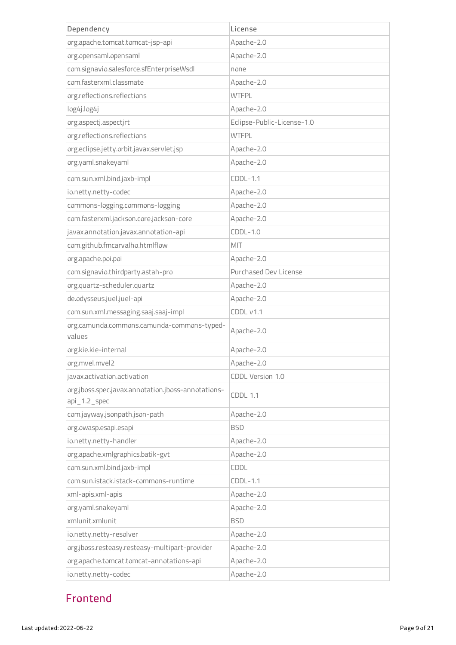| Dependency                                                            | License                    |
|-----------------------------------------------------------------------|----------------------------|
| org.apache.tomcat.tomcat-jsp-api                                      | Apache-2.0                 |
| org.opensaml.opensaml                                                 | Apache-2.0                 |
| com.signavio.salesforce.sfEnterpriseWsdl                              | none                       |
| com.fasterxml.classmate                                               | Apache-2.0                 |
| org.reflections.reflections                                           | <b>WTFPL</b>               |
| log4j.log4j                                                           | Apache-2.0                 |
| org.aspectj.aspectjrt                                                 | Eclipse-Public-License-1.0 |
| org.reflections.reflections                                           | <b>WTFPL</b>               |
| org.eclipse.jetty.orbit.javax.servlet.jsp                             | Apache-2.0                 |
| org.yaml.snakeyaml                                                    | Apache-2.0                 |
| com.sun.xml.bind.jaxb-impl                                            | $CDDL-1.1$                 |
| io.netty.netty-codec                                                  | Apache-2.0                 |
| commons-logging.commons-logging                                       | Apache-2.0                 |
| com.fasterxml.jackson.core.jackson-core                               | Apache-2.0                 |
| javax.annotation.javax.annotation-api                                 | $CDDL-1.0$                 |
| com.github.fmcarvalho.htmlflow                                        | MIT                        |
| org.apache.poi.poi                                                    | Apache-2.0                 |
| com.signavio.thirdparty.astah-pro                                     | Purchased Dev License      |
| org.quartz-scheduler.quartz                                           | Apache-2.0                 |
| de.odysseus.juel.juel-api                                             | Apache-2.0                 |
| com.sun.xml.messaging.saaj.saaj-impl                                  | CDDL v1.1                  |
| org.camunda.commons.camunda-commons-typed-<br>values                  | Apache-2.0                 |
| org.kie.kie-internal                                                  | Apache-2.0                 |
| org.mvel.mvel2                                                        | Apache-2.0                 |
| javax.activation.activation                                           | CDDL Version 1.0           |
| org.jboss.spec.javax.annotation.jboss-annotations-<br>$api_1.2$ _spec | <b>CDDL 1.1</b>            |
| com.jayway.jsonpath.json-path                                         | Apache-2.0                 |
| org.owasp.esapi.esapi                                                 | <b>BSD</b>                 |
| io.netty.netty-handler                                                | Apache-2.0                 |
| org.apache.xmlgraphics.batik-gvt                                      | Apache-2.0                 |
| com.sun.xml.bind.jaxb-impl                                            | CDDL                       |
| com.sun.istack.istack-commons-runtime                                 | $CDDL-1.1$                 |
| xml-apis.xml-apis                                                     | Apache-2.0                 |
| org.yaml.snakeyaml                                                    | Apache-2.0                 |
| xmlunit.xmlunit                                                       | <b>BSD</b>                 |
| io.netty.netty-resolver                                               | Apache-2.0                 |
| org.jboss.resteasy.resteasy-multipart-provider                        | Apache-2.0                 |
| org.apache.tomcat.tomcat-annotations-api                              | Apache-2.0                 |
| io.netty.netty-codec                                                  | Apache-2.0                 |

## Frontend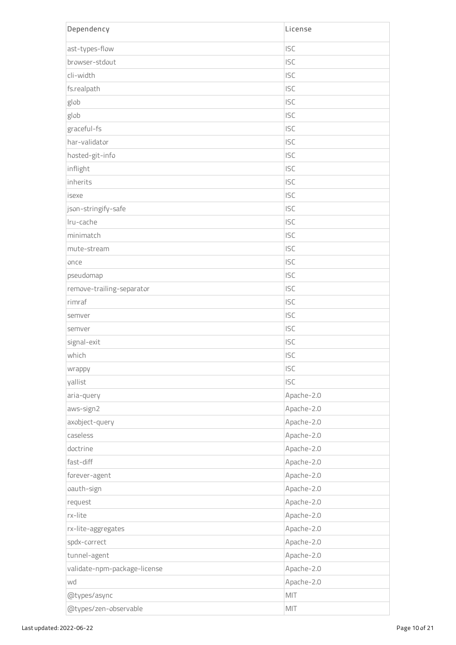| Dependency                   | License    |
|------------------------------|------------|
| ast-types-flow               | <b>ISC</b> |
| browser-stdout               | <b>ISC</b> |
| cli-width                    | <b>ISC</b> |
| fs.realpath                  | <b>ISC</b> |
| glob                         | <b>ISC</b> |
| glob                         | <b>ISC</b> |
| graceful-fs                  | <b>ISC</b> |
| har-validator                | <b>ISC</b> |
| hosted-git-info              | <b>ISC</b> |
| inflight                     | <b>ISC</b> |
| inherits                     | <b>ISC</b> |
| isexe                        | <b>ISC</b> |
| json-stringify-safe          | <b>ISC</b> |
| Iru-cache                    | <b>ISC</b> |
| minimatch                    | <b>ISC</b> |
| mute-stream                  | <b>ISC</b> |
| once                         | <b>ISC</b> |
| pseudomap                    | <b>ISC</b> |
| remove-trailing-separator    | <b>ISC</b> |
| rimraf                       | <b>ISC</b> |
| semver                       | <b>ISC</b> |
| semver                       | <b>ISC</b> |
| signal-exit                  | <b>ISC</b> |
| which                        | <b>ISC</b> |
| wrappy                       | <b>ISC</b> |
| yallist                      | <b>ISC</b> |
| aria-query                   | Apache-2.0 |
| aws-sign2                    | Apache-2.0 |
| axobject-query               | Apache-2.0 |
| caseless                     | Apache-2.0 |
| doctrine                     | Apache-2.0 |
| fast-diff                    | Apache-2.0 |
| forever-agent                | Apache-2.0 |
| oauth-sign                   | Apache-2.0 |
| request                      | Apache-2.0 |
| rx-lite                      | Apache-2.0 |
| rx-lite-aggregates           | Apache-2.0 |
| spdx-correct                 | Apache-2.0 |
| tunnel-agent                 | Apache-2.0 |
| validate-npm-package-license | Apache-2.0 |
| wd                           | Apache-2.0 |
| @types/async                 | MIT        |
| @types/zen-observable        | MIT        |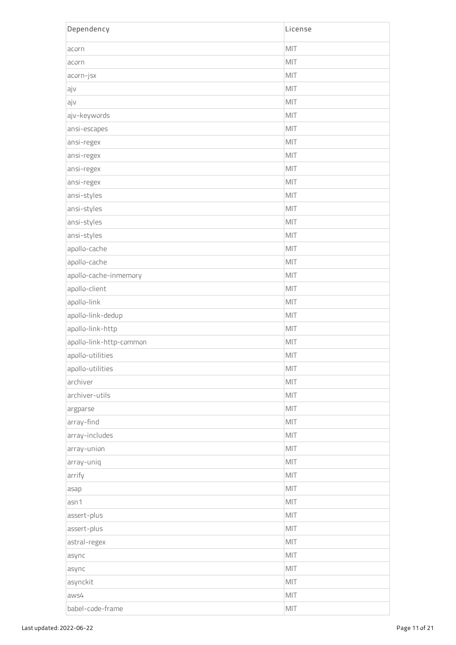| Dependency              | License |
|-------------------------|---------|
| acorn                   | MIT     |
| acorn                   | MIT     |
| acorn-jsx               | MIT     |
| ajv                     | MIT     |
| ajv                     | MIT     |
| ajv-keywords            | MIT     |
| ansi-escapes            | MIT     |
| ansi-regex              | MIT     |
| ansi-regex              | MIT     |
| ansi-regex              | MIT     |
| ansi-regex              | MIT     |
| ansi-styles             | MIT     |
| ansi-styles             | MIT     |
| ansi-styles             | MIT     |
| ansi-styles             | MIT     |
| apollo-cache            | MIT     |
| apollo-cache            | MIT     |
| apollo-cache-inmemory   | MIT     |
| apollo-client           | MIT     |
| apollo-link             | MIT     |
| apollo-link-dedup       | MIT     |
| apollo-link-http        | MIT     |
| apollo-link-http-common | MIT     |
| apollo-utilities        | MIT     |
| apollo-utilities        | MIT     |
| archiver                | MIT     |
| archiver-utils          | MIT     |
| argparse                | MIT     |
| array-find              | MIT     |
| array-includes          | MIT     |
| array-union             | MIT     |
| array-uniq              | MIT     |
| arrify                  | MIT     |
| asap                    | MIT     |
| asn1                    | MIT     |
| assert-plus             | MIT     |
| assert-plus             | MIT     |
| astral-regex            | MIT     |
| async                   | MIT     |
| async                   | MIT     |
| asynckit                | MIT     |
| aws4                    | MIT     |
| babel-code-frame        | MIT     |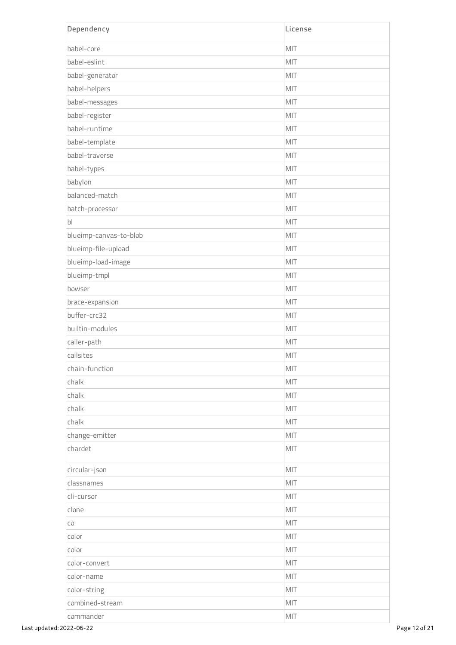| Dependency             | License |
|------------------------|---------|
| babel-core             | MIT     |
| babel-eslint           | MIT     |
| babel-generator        | MIT     |
| babel-helpers          | MIT     |
| babel-messages         | MIT     |
| babel-register         | MIT     |
| babel-runtime          | MIT     |
| babel-template         | MIT     |
| babel-traverse         | MIT     |
| babel-types            | MIT     |
| babylon                | MIT     |
| balanced-match         | MIT     |
| batch-processor        | MIT     |
| b <sub>l</sub>         | MIT     |
| blueimp-canvas-to-blob | MIT     |
| blueimp-file-upload    | MIT     |
| blueimp-load-image     | MIT     |
| blueimp-tmpl           | MIT     |
| bowser                 | MIT     |
| brace-expansion        | MIT     |
| buffer-crc32           | MIT     |
| builtin-modules        | MIT     |
| caller-path            | MIT     |
| callsites              | MIT     |
| chain-function         | MIT     |
| chalk                  | MIT     |
| chalk                  | MIT     |
| chalk                  | MIT     |
| chalk                  | MIT     |
| change-emitter         | MIT     |
| chardet                | MIT     |
| circular-json          | MIT     |
| classnames             | MIT     |
| cli-cursor             | MIT     |
| clone                  | MIT     |
| CO                     | MIT     |
| color                  | MIT     |
| color                  | MIT     |
| color-convert          | MIT     |
| color-name             | MIT     |
| color-string           | MIT     |
| combined-stream        | MIT     |
| commander              | MIT     |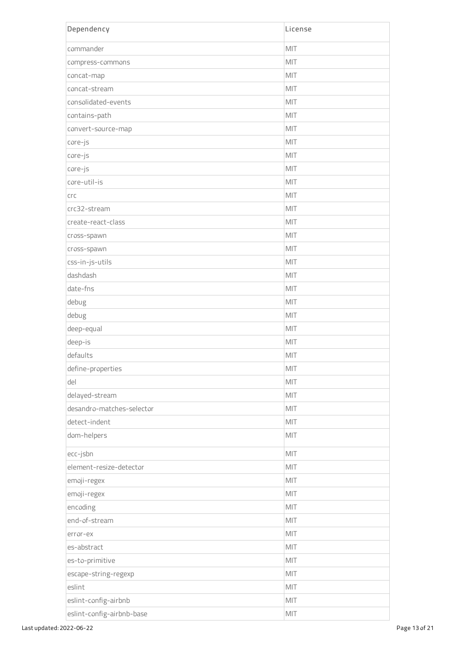| Dependency                | License |
|---------------------------|---------|
| commander                 | MIT     |
| compress-commons          | MIT     |
| concat-map                | MIT     |
| concat-stream             | MIT     |
| consolidated-events       | MIT     |
| contains-path             | MIT     |
| convert-source-map        | MIT     |
| core-js                   | MIT     |
| core-js                   | MIT     |
| core-js                   | MIT     |
| core-util-is              | MIT     |
| <b>CrC</b>                | MIT     |
| crc32-stream              | MIT     |
| create-react-class        | MIT     |
| cross-spawn               | MIT     |
| cross-spawn               | MIT     |
| css-in-js-utils           | MIT     |
| dashdash                  | MIT     |
| date-fns                  | MIT     |
| debug                     | MIT     |
| debug                     | MIT     |
| deep-equal                | MIT     |
| deep-is                   | MIT     |
| defaults                  | MIT     |
| define-properties         | MIT     |
| del                       | MIT     |
| delayed-stream            | MIT     |
| desandro-matches-selector | MIT     |
| detect-indent             | MIT     |
| dom-helpers               | MIT     |
| ecc-jsbn                  | MIT     |
| element-resize-detector   | MIT     |
| emoji-regex               | MIT     |
| emoji-regex               | MIT     |
| encoding                  | MIT     |
| end-of-stream             | MIT     |
| error-ex                  | MIT     |
| es-abstract               | MIT     |
| es-to-primitive           | MIT     |
| escape-string-regexp      | MIT     |
| eslint                    | MIT     |
| eslint-config-airbnb      | MIT     |
| eslint-config-airbnb-base | MIT     |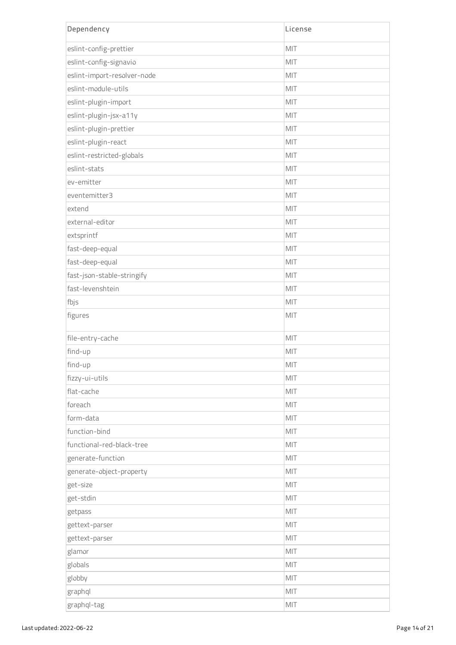| Dependency                  | License |
|-----------------------------|---------|
| eslint-config-prettier      | MIT     |
| eslint-config-signavio      | MIT     |
| eslint-import-resolver-node | MIT     |
| eslint-module-utils         | MIT     |
| eslint-plugin-import        | MIT     |
| eslint-plugin-jsx-a11y      | MIT     |
| eslint-plugin-prettier      | MIT     |
| eslint-plugin-react         | MIT     |
| eslint-restricted-globals   | MIT     |
| eslint-stats                | MIT     |
| ev-emitter                  | MIT     |
| eventemitter3               | MIT     |
| extend                      | MIT     |
| external-editor             | MIT     |
| extsprintf                  | MIT     |
| fast-deep-equal             | MIT     |
| fast-deep-equal             | MIT     |
| fast-json-stable-stringify  | MIT     |
| fast-levenshtein            | MIT     |
| fbjs                        | MIT     |
| figures                     | MIT     |
| file-entry-cache            | MIT     |
| find-up                     | MIT     |
| find-up                     | MIT     |
| fizzy-ui-utils              | MIT     |
| flat-cache                  | MIT     |
| foreach                     | MIT     |
| form-data                   | MIT     |
| function-bind               | MIT     |
| functional-red-black-tree   | MIT     |
| generate-function           | MIT     |
| generate-object-property    | MIT     |
| get-size                    | MIT     |
| get-stdin                   | MIT     |
| getpass                     | MIT     |
| gettext-parser              | MIT     |
| gettext-parser              | MIT     |
| glamor                      | MIT     |
| globals                     | MIT     |
| globby                      | MIT     |
| graphql                     | MIT     |
| graphql-tag                 | MIT     |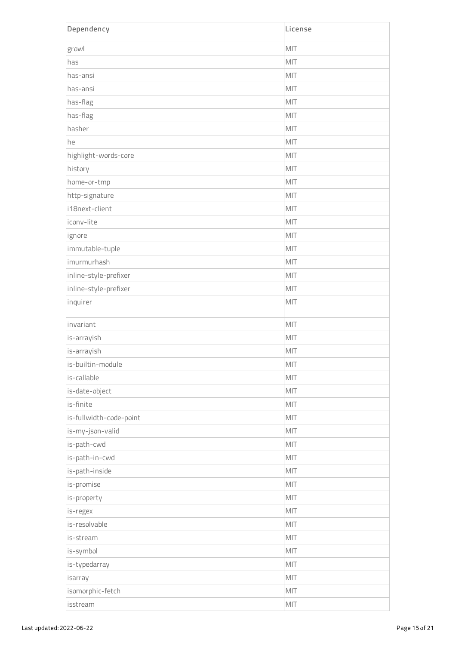| Dependency              | License |
|-------------------------|---------|
| growl                   | MIT     |
| has                     | MIT     |
| has-ansi                | MIT     |
| has-ansi                | MIT     |
| has-flag                | MIT     |
| has-flag                | MIT     |
| hasher                  | MIT     |
| he                      | MIT     |
| highlight-words-core    | MIT     |
| history                 | MIT     |
| home-or-tmp             | MIT     |
| http-signature          | MIT     |
| i18next-client          | MIT     |
| iconv-lite              | MIT     |
| ignore                  | MIT     |
| immutable-tuple         | MIT     |
| imurmurhash             | MIT     |
| inline-style-prefixer   | MIT     |
| inline-style-prefixer   | MIT     |
| inquirer                | MIT     |
| invariant               | MIT     |
| is-arrayish             | MIT     |
| is-arrayish             | MIT     |
| is-builtin-module       | $MIT$   |
| is-callable             | MIT     |
| is-date-object          | MIT     |
| is-finite               | MIT     |
| is-fullwidth-code-point | MIT     |
| is-my-json-valid        | MIT     |
| is-path-cwd             | MIT     |
| is-path-in-cwd          | MIT     |
| is-path-inside          | MIT     |
| is-promise              | MIT     |
| is-property             | MIT     |
| is-regex                | MIT     |
| is-resolvable           | MIT     |
| is-stream               | MIT     |
| is-symbol               | MIT     |
| is-typedarray           | MIT     |
| isarray                 | MIT     |
| isomorphic-fetch        | MIT     |
| isstream                | MIT     |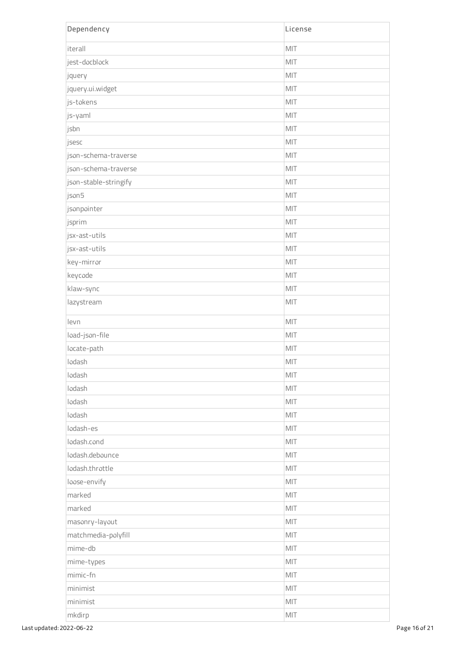| Dependency            | License        |
|-----------------------|----------------|
| iterall               | MIT            |
| jest-docblock         | MIT            |
| jquery                | MIT            |
| jquery.ui.widget      | MIT            |
| js-tokens             | MIT            |
| js-yaml               | MIT            |
| jsbn                  | MIT            |
| jsesc                 | MIT            |
| json-schema-traverse  | MIT            |
| json-schema-traverse  | MIT            |
| json-stable-stringify | MIT            |
| json5                 | MIT            |
| jsonpointer           | MIT            |
| jsprim                | MIT            |
| jsx-ast-utils         | MIT            |
| jsx-ast-utils         | MIT            |
| key-mirror            | MIT            |
| keycode               | MIT            |
| klaw-sync             | MIT            |
| lazystream            | MIT            |
| levn                  | MIT            |
| load-json-file        | MIT            |
| locate-path           | MIT            |
| lodash                | MIT            |
| lodash                | MIT            |
| lodash                | MIT            |
| lodash                | MIT            |
| lodash                | MIT            |
| lodash-es             | MIT            |
| lodash.cond           | MIT            |
| lodash.debounce       | MIT            |
| lodash.throttle       | MIT            |
| loose-envify          | MIT            |
| marked                | MIT            |
| marked                | MIT            |
| masonry-layout        | MIT            |
| matchmedia-polyfill   | MIT            |
| mime-db               | MIT            |
| mime-types            | MIT            |
| mimic-fn              | MIT            |
| minimist              | MIT            |
| minimist              | $\mathsf{MIT}$ |
| mkdirp                | $\mathsf{MIT}$ |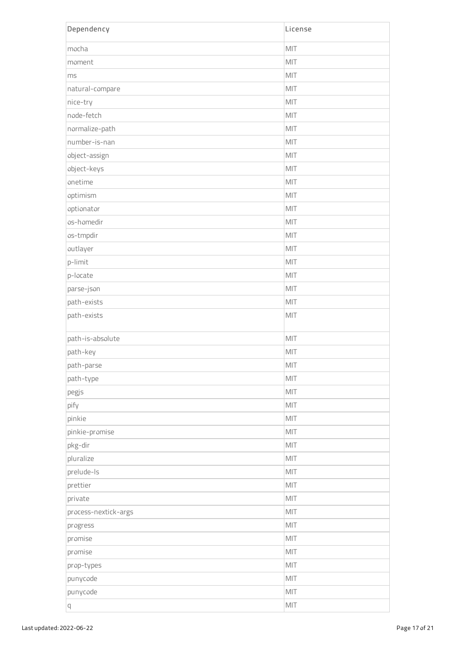| Dependency           | License        |
|----------------------|----------------|
| mocha                | MIT            |
| moment               | MIT            |
| ms                   | MIT            |
| natural-compare      | MIT            |
| nice-try             | MIT            |
| node-fetch           | MIT            |
| normalize-path       | MIT            |
| number-is-nan        | MIT            |
| object-assign        | MIT            |
| object-keys          | MIT            |
| onetime              | MIT            |
| optimism             | MIT            |
| optionator           | MIT            |
| os-homedir           | MIT            |
| os-tmpdir            | MIT            |
| outlayer             | MIT            |
| p-limit              | MIT            |
| p-locate             | MIT            |
| parse-json           | MIT            |
| path-exists          | MIT            |
| path-exists          | MIT            |
| path-is-absolute     | MIT            |
| path-key             | MIT            |
| path-parse           | MIT            |
| path-type            | MIT            |
| pegjs                | MIT            |
| pify                 | MIT            |
| pinkie               | MIT            |
| pinkie-promise       | MIT            |
| pkg-dir              | MIT            |
| pluralize            | MIT            |
| prelude-Is           | MIT            |
| prettier             | MIT            |
| private              | MIT            |
| process-nextick-args | MIT            |
| progress             | MIT            |
| promise              | MIT            |
| promise              | MIT            |
| prop-types           | MIT            |
| punycode             | MIT            |
| punycode             | MIT            |
| q                    | $\mathsf{MIT}$ |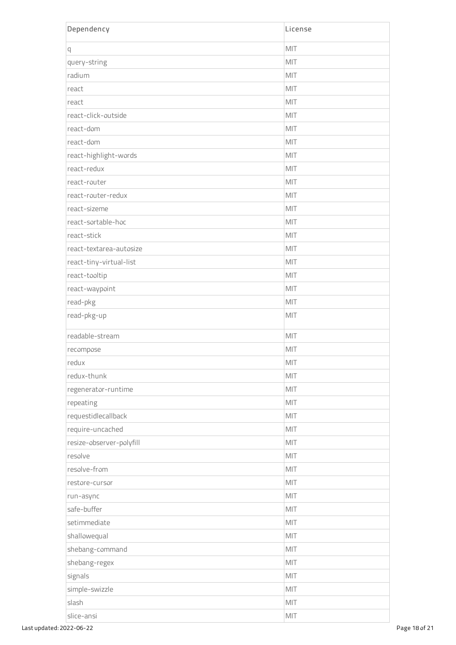| Dependency               | License |
|--------------------------|---------|
| q                        | MIT     |
| query-string             | MIT     |
| radium                   | MIT     |
| react                    | MIT     |
| react                    | MIT     |
| react-click-outside      | MIT     |
| react-dom                | MIT     |
| react-dom                | MIT     |
| react-highlight-words    | MIT     |
| react-redux              | MIT     |
| react-router             | MIT     |
| react-router-redux       | MIT     |
| react-sizeme             | MIT     |
| react-sortable-hoc       | MIT     |
| react-stick              | MIT     |
| react-textarea-autosize  | MIT     |
| react-tiny-virtual-list  | MIT     |
| react-tooltip            | MIT     |
| react-waypoint           | MIT     |
| read-pkg                 | MIT     |
| read-pkg-up              | MIT     |
| readable-stream          | MIT     |
| recompose                | MIT     |
| redux                    | MIT     |
| redux-thunk              | MIT     |
| regenerator-runtime      | MIT     |
| repeating                | MIT     |
| requestidlecallback      | MIT     |
| require-uncached         | MIT     |
| resize-observer-polyfill | MIT     |
| resolve                  | MIT     |
| resolve-from             | MIT     |
| restore-cursor           | MIT     |
| run-async                | MIT     |
| safe-buffer              | MIT     |
| setimmediate             | MIT     |
| shallowequal             | MIT     |
| shebang-command          | MIT     |
| shebang-regex            | MIT     |
| signals                  | MIT     |
| simple-swizzle           | MIT     |
| slash                    | MIT     |
| slice-ansi               | MIT     |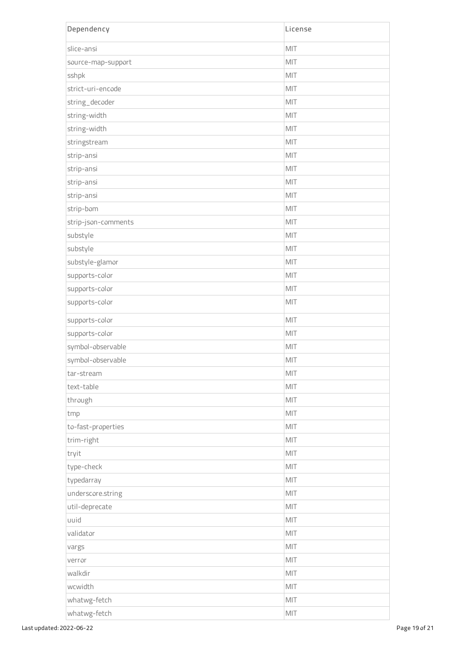| Dependency          | License |
|---------------------|---------|
| slice-ansi          | MIT     |
| source-map-support  | MIT     |
| sshpk               | MIT     |
| strict-uri-encode   | MIT     |
| string_decoder      | MIT     |
| string-width        | MIT     |
| string-width        | MIT     |
| stringstream        | MIT     |
| strip-ansi          | MIT     |
| strip-ansi          | MIT     |
| strip-ansi          | MIT     |
| strip-ansi          | MIT     |
| strip-bom           | MIT     |
| strip-json-comments | MIT     |
| substyle            | MIT     |
| substyle            | MIT     |
| substyle-glamor     | MIT     |
| supports-color      | MIT     |
| supports-color      | MIT     |
| supports-color      | MIT     |
| supports-color      | MIT     |
| supports-color      | MIT     |
| symbol-observable   | MIT     |
| symbol-observable   | MIT     |
| tar-stream          | MIT     |
| text-table          | MIT     |
| through             | MIT     |
| tmp                 | MIT     |
| to-fast-properties  | MIT     |
| trim-right          | MIT     |
| tryit               | MIT     |
| type-check          | MIT     |
| typedarray          | MIT     |
| underscore.string   | MIT     |
| util-deprecate      | MIT     |
| uuid                | MIT     |
| validator           | MIT     |
| vargs               | MIT     |
| verror              | MIT     |
| walkdir             | MIT     |
| wcwidth             | MIT     |
| whatwg-fetch        | MIT     |
| whatwg-fetch        | MIT     |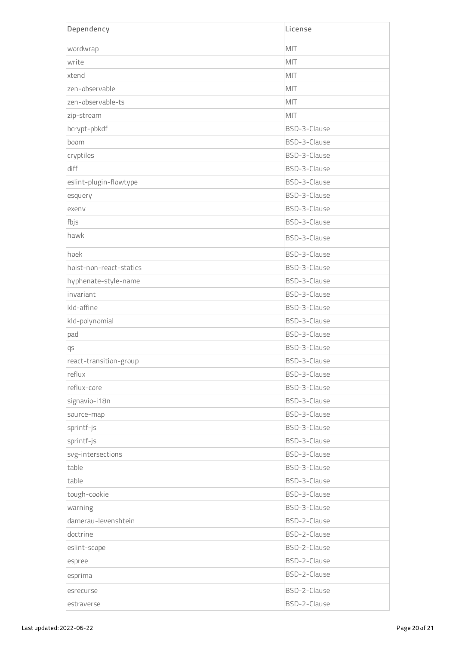| Dependency              | License      |
|-------------------------|--------------|
| wordwrap                | MIT          |
| write                   | MIT          |
| xtend                   | MIT          |
| zen-observable          | MIT          |
| zen-observable-ts       | MIT          |
| zip-stream              | MIT          |
| bcrypt-pbkdf            | BSD-3-Clause |
| boom                    | BSD-3-Clause |
| cryptiles               | BSD-3-Clause |
| diff                    | BSD-3-Clause |
| eslint-plugin-flowtype  | BSD-3-Clause |
| esquery                 | BSD-3-Clause |
| exenv                   | BSD-3-Clause |
| fbjs                    | BSD-3-Clause |
| hawk                    | BSD-3-Clause |
| hoek                    | BSD-3-Clause |
| hoist-non-react-statics | BSD-3-Clause |
| hyphenate-style-name    | BSD-3-Clause |
| invariant               | BSD-3-Clause |
| kld-affine              | BSD-3-Clause |
| kld-polynomial          | BSD-3-Clause |
| pad                     | BSD-3-Clause |
| qs                      | BSD-3-Clause |
| react-transition-group  | BSD-3-Clause |
| reflux                  | BSD-3-Clause |
| reflux-core             | BSD-3-Clause |
| signavio-i18n           | BSD-3-Clause |
| source-map              | BSD-3-Clause |
| sprintf-js              | BSD-3-Clause |
| sprintf-js              | BSD-3-Clause |
| svg-intersections       | BSD-3-Clause |
| table                   | BSD-3-Clause |
| table                   | BSD-3-Clause |
| tough-cookie            | BSD-3-Clause |
| warning                 | BSD-3-Clause |
| damerau-levenshtein     | BSD-2-Clause |
| doctrine                | BSD-2-Clause |
| eslint-scope            | BSD-2-Clause |
| espree                  | BSD-2-Clause |
| esprima                 | BSD-2-Clause |
| esrecurse               | BSD-2-Clause |
| estraverse              | BSD-2-Clause |